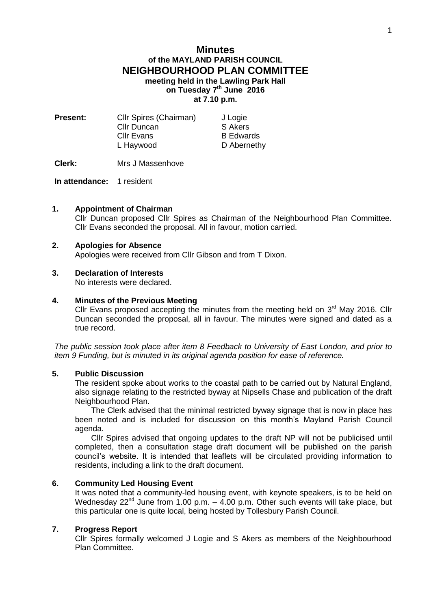# **Minutes of the MAYLAND PARISH COUNCIL NEIGHBOURHOOD PLAN COMMITTEE meeting held in the Lawling Park Hall on Tuesday 7 th June 2016 at 7.10 p.m.**

| <b>Present:</b> | Cllr Spires (Chairman) | J Logie          |
|-----------------|------------------------|------------------|
|                 | <b>Cllr Duncan</b>     | S Akers          |
|                 | <b>CIIr Evans</b>      | <b>B</b> Edwards |
|                 | L Haywood              | D Abernethy      |
|                 |                        |                  |

**Clerk:** Mrs J Massenhove

**In attendance:** 1 resident

## **1. Appointment of Chairman**

Cllr Duncan proposed Cllr Spires as Chairman of the Neighbourhood Plan Committee. Cllr Evans seconded the proposal. All in favour, motion carried.

# **2. Apologies for Absence**

Apologies were received from Cllr Gibson and from T Dixon.

# **3. Declaration of Interests**

No interests were declared.

#### **4. Minutes of the Previous Meeting**

Cllr Evans proposed accepting the minutes from the meeting held on  $3<sup>rd</sup>$  May 2016. Cllr Duncan seconded the proposal, all in favour. The minutes were signed and dated as a true record.

*The public session took place after item 8 Feedback to University of East London, and prior to item 9 Funding, but is minuted in its original agenda position for ease of reference.*

# **5. Public Discussion**

The resident spoke about works to the coastal path to be carried out by Natural England, also signage relating to the restricted byway at Nipsells Chase and publication of the draft Neighbourhood Plan.

The Clerk advised that the minimal restricted byway signage that is now in place has been noted and is included for discussion on this month's Mayland Parish Council agenda.

Cllr Spires advised that ongoing updates to the draft NP will not be publicised until completed, then a consultation stage draft document will be published on the parish council's website. It is intended that leaflets will be circulated providing information to residents, including a link to the draft document.

# **6. Community Led Housing Event**

It was noted that a community-led housing event, with keynote speakers, is to be held on Wednesday  $22^{nd}$  June from 1.00 p.m.  $-$  4.00 p.m. Other such events will take place, but this particular one is quite local, being hosted by Tollesbury Parish Council.

#### **7. Progress Report**

Cllr Spires formally welcomed J Logie and S Akers as members of the Neighbourhood Plan Committee.